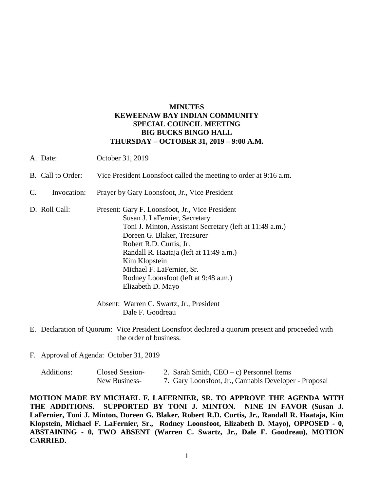## **MINUTES KEWEENAW BAY INDIAN COMMUNITY SPECIAL COUNCIL MEETING BIG BUCKS BINGO HALL THURSDAY – OCTOBER 31, 2019 – 9:00 A.M.**

- A. Date: October 31, 2019
- B. Call to Order: Vice President Loonsfoot called the meeting to order at 9:16 a.m.
- C. Invocation: Prayer by Gary Loonsfoot, Jr., Vice President

D. Roll Call: Present: Gary F. Loonsfoot, Jr., Vice President Susan J. LaFernier, Secretary Toni J. Minton, Assistant Secretary (left at 11:49 a.m.) Doreen G. Blaker, Treasurer Robert R.D. Curtis, Jr. Randall R. Haataja (left at 11:49 a.m.) Kim Klopstein Michael F. LaFernier, Sr. Rodney Loonsfoot (left at 9:48 a.m.) Elizabeth D. Mayo

> Absent: Warren C. Swartz, Jr., President Dale F. Goodreau

- E. Declaration of Quorum: Vice President Loonsfoot declared a quorum present and proceeded with the order of business.
- F. Approval of Agenda: October 31, 2019

| Additions: | Closed Session- | 2. Sarah Smith, $CEO - c$ ) Personnel Items           |
|------------|-----------------|-------------------------------------------------------|
|            | New Business-   | 7. Gary Loonsfoot, Jr., Cannabis Developer - Proposal |

**MOTION MADE BY MICHAEL F. LAFERNIER, SR. TO APPROVE THE AGENDA WITH THE ADDITIONS. SUPPORTED BY TONI J. MINTON. NINE IN FAVOR (Susan J. LaFernier, Toni J. Minton, Doreen G. Blaker, Robert R.D. Curtis, Jr., Randall R. Haataja, Kim Klopstein, Michael F. LaFernier, Sr., Rodney Loonsfoot, Elizabeth D. Mayo), OPPOSED - 0, ABSTAINING - 0, TWO ABSENT (Warren C. Swartz, Jr., Dale F. Goodreau), MOTION CARRIED.**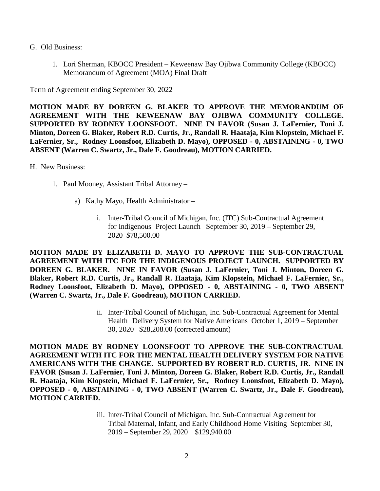- G. Old Business:
	- 1. Lori Sherman, KBOCC President Keweenaw Bay Ojibwa Community College (KBOCC) Memorandum of Agreement (MOA) Final Draft

Term of Agreement ending September 30, 2022

**MOTION MADE BY DOREEN G. BLAKER TO APPROVE THE MEMORANDUM OF AGREEMENT WITH THE KEWEENAW BAY OJIBWA COMMUNITY COLLEGE. SUPPORTED BY RODNEY LOONSFOOT. NINE IN FAVOR (Susan J. LaFernier, Toni J. Minton, Doreen G. Blaker, Robert R.D. Curtis, Jr., Randall R. Haataja, Kim Klopstein, Michael F. LaFernier, Sr., Rodney Loonsfoot, Elizabeth D. Mayo), OPPOSED - 0, ABSTAINING - 0, TWO ABSENT (Warren C. Swartz, Jr., Dale F. Goodreau), MOTION CARRIED.**

H. New Business:

- 1. Paul Mooney, Assistant Tribal Attorney
	- a) Kathy Mayo, Health Administrator
		- i. Inter-Tribal Council of Michigan, Inc. (ITC) Sub-Contractual Agreement for Indigenous Project Launch September 30, 2019 – September 29, 2020 \$78,500.00

**MOTION MADE BY ELIZABETH D. MAYO TO APPROVE THE SUB-CONTRACTUAL AGREEMENT WITH ITC FOR THE INDIGENOUS PROJECT LAUNCH. SUPPORTED BY DOREEN G. BLAKER. NINE IN FAVOR (Susan J. LaFernier, Toni J. Minton, Doreen G. Blaker, Robert R.D. Curtis, Jr., Randall R. Haataja, Kim Klopstein, Michael F. LaFernier, Sr., Rodney Loonsfoot, Elizabeth D. Mayo), OPPOSED - 0, ABSTAINING - 0, TWO ABSENT (Warren C. Swartz, Jr., Dale F. Goodreau), MOTION CARRIED.**

> ii. Inter-Tribal Council of Michigan, Inc. Sub-Contractual Agreement for Mental Health Delivery System for Native Americans October 1, 2019 – September 30, 2020 \$28,208.00 (corrected amount)

**MOTION MADE BY RODNEY LOONSFOOT TO APPROVE THE SUB-CONTRACTUAL AGREEMENT WITH ITC FOR THE MENTAL HEALTH DELIVERY SYSTEM FOR NATIVE AMERICANS WITH THE CHANGE. SUPPORTED BY ROBERT R.D. CURTIS, JR. NINE IN FAVOR (Susan J. LaFernier, Toni J. Minton, Doreen G. Blaker, Robert R.D. Curtis, Jr., Randall R. Haataja, Kim Klopstein, Michael F. LaFernier, Sr., Rodney Loonsfoot, Elizabeth D. Mayo), OPPOSED - 0, ABSTAINING - 0, TWO ABSENT (Warren C. Swartz, Jr., Dale F. Goodreau), MOTION CARRIED.**

> iii. Inter-Tribal Council of Michigan, Inc. Sub-Contractual Agreement for Tribal Maternal, Infant, and Early Childhood Home Visiting September 30, 2019 – September 29, 2020 \$129,940.00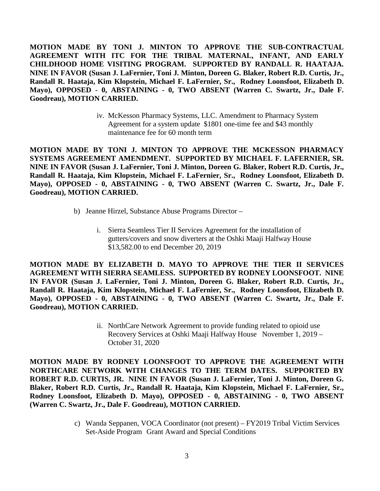**MOTION MADE BY TONI J. MINTON TO APPROVE THE SUB-CONTRACTUAL AGREEMENT WITH ITC FOR THE TRIBAL MATERNAL, INFANT, AND EARLY CHILDHOOD HOME VISITING PROGRAM. SUPPORTED BY RANDALL R. HAATAJA. NINE IN FAVOR (Susan J. LaFernier, Toni J. Minton, Doreen G. Blaker, Robert R.D. Curtis, Jr., Randall R. Haataja, Kim Klopstein, Michael F. LaFernier, Sr., Rodney Loonsfoot, Elizabeth D. Mayo), OPPOSED - 0, ABSTAINING - 0, TWO ABSENT (Warren C. Swartz, Jr., Dale F. Goodreau), MOTION CARRIED.**

> iv. McKesson Pharmacy Systems, LLC. Amendment to Pharmacy System Agreement for a system update \$1801 one-time fee and \$43 monthly maintenance fee for 60 month term

**MOTION MADE BY TONI J. MINTON TO APPROVE THE MCKESSON PHARMACY SYSTEMS AGREEMENT AMENDMENT. SUPPORTED BY MICHAEL F. LAFERNIER, SR. NINE IN FAVOR (Susan J. LaFernier, Toni J. Minton, Doreen G. Blaker, Robert R.D. Curtis, Jr., Randall R. Haataja, Kim Klopstein, Michael F. LaFernier, Sr., Rodney Loonsfoot, Elizabeth D. Mayo), OPPOSED - 0, ABSTAINING - 0, TWO ABSENT (Warren C. Swartz, Jr., Dale F. Goodreau), MOTION CARRIED.**

- b) Jeanne Hirzel, Substance Abuse Programs Director
	- i. Sierra Seamless Tier II Services Agreement for the installation of gutters/covers and snow diverters at the Oshki Maaji Halfway House \$13,582.00 to end December 20, 2019

**MOTION MADE BY ELIZABETH D. MAYO TO APPROVE THE TIER II SERVICES AGREEMENT WITH SIERRA SEAMLESS. SUPPORTED BY RODNEY LOONSFOOT. NINE IN FAVOR (Susan J. LaFernier, Toni J. Minton, Doreen G. Blaker, Robert R.D. Curtis, Jr., Randall R. Haataja, Kim Klopstein, Michael F. LaFernier, Sr., Rodney Loonsfoot, Elizabeth D. Mayo), OPPOSED - 0, ABSTAINING - 0, TWO ABSENT (Warren C. Swartz, Jr., Dale F. Goodreau), MOTION CARRIED.**

> ii. NorthCare Network Agreement to provide funding related to opioid use Recovery Services at Oshki Maaji Halfway House November 1, 2019 – October 31, 2020

**MOTION MADE BY RODNEY LOONSFOOT TO APPROVE THE AGREEMENT WITH NORTHCARE NETWORK WITH CHANGES TO THE TERM DATES. SUPPORTED BY ROBERT R.D. CURTIS, JR. NINE IN FAVOR (Susan J. LaFernier, Toni J. Minton, Doreen G. Blaker, Robert R.D. Curtis, Jr., Randall R. Haataja, Kim Klopstein, Michael F. LaFernier, Sr., Rodney Loonsfoot, Elizabeth D. Mayo), OPPOSED - 0, ABSTAINING - 0, TWO ABSENT (Warren C. Swartz, Jr., Dale F. Goodreau), MOTION CARRIED.**

> c) Wanda Seppanen, VOCA Coordinator (not present) – FY2019 Tribal Victim Services Set-Aside Program Grant Award and Special Conditions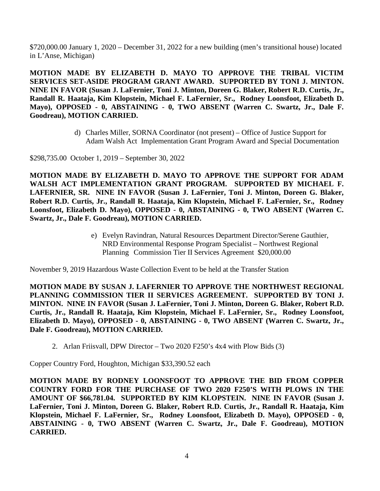\$720,000.00 January 1, 2020 – December 31, 2022 for a new building (men's transitional house) located in L'Anse, Michigan)

**MOTION MADE BY ELIZABETH D. MAYO TO APPROVE THE TRIBAL VICTIM SERVICES SET-ASIDE PROGRAM GRANT AWARD. SUPPORTED BY TONI J. MINTON. NINE IN FAVOR (Susan J. LaFernier, Toni J. Minton, Doreen G. Blaker, Robert R.D. Curtis, Jr., Randall R. Haataja, Kim Klopstein, Michael F. LaFernier, Sr., Rodney Loonsfoot, Elizabeth D. Mayo), OPPOSED - 0, ABSTAINING - 0, TWO ABSENT (Warren C. Swartz, Jr., Dale F. Goodreau), MOTION CARRIED.**

> d) Charles Miller, SORNA Coordinator (not present) – Office of Justice Support for Adam Walsh Act Implementation Grant Program Award and Special Documentation

\$298,735.00 October 1, 2019 – September 30, 2022

**MOTION MADE BY ELIZABETH D. MAYO TO APPROVE THE SUPPORT FOR ADAM**  WALSH ACT IMPLEMENTATION GRANT PROGRAM. SUPPORTED BY MICHAEL F. **LAFERNIER, SR. NINE IN FAVOR (Susan J. LaFernier, Toni J. Minton, Doreen G. Blaker, Robert R.D. Curtis, Jr., Randall R. Haataja, Kim Klopstein, Michael F. LaFernier, Sr., Rodney Loonsfoot, Elizabeth D. Mayo), OPPOSED - 0, ABSTAINING - 0, TWO ABSENT (Warren C. Swartz, Jr., Dale F. Goodreau), MOTION CARRIED.**

> e) Evelyn Ravindran, Natural Resources Department Director/Serene Gauthier, NRD Environmental Response Program Specialist – Northwest Regional Planning Commission Tier II Services Agreement \$20,000.00

November 9, 2019 Hazardous Waste Collection Event to be held at the Transfer Station

**MOTION MADE BY SUSAN J. LAFERNIER TO APPROVE THE NORTHWEST REGIONAL PLANNING COMMISSION TIER II SERVICES AGREEMENT. SUPPORTED BY TONI J. MINTON. NINE IN FAVOR (Susan J. LaFernier, Toni J. Minton, Doreen G. Blaker, Robert R.D. Curtis, Jr., Randall R. Haataja, Kim Klopstein, Michael F. LaFernier, Sr., Rodney Loonsfoot, Elizabeth D. Mayo), OPPOSED - 0, ABSTAINING - 0, TWO ABSENT (Warren C. Swartz, Jr., Dale F. Goodreau), MOTION CARRIED.**

2. Arlan Friisvall, DPW Director – Two 2020 F250's 4x4 with Plow Bids (3)

Copper Country Ford, Houghton, Michigan \$33,390.52 each

**MOTION MADE BY RODNEY LOONSFOOT TO APPROVE THE BID FROM COPPER COUNTRY FORD FOR THE PURCHASE OF TWO 2020 F250'S WITH PLOWS IN THE AMOUNT OF \$66,781.04. SUPPORTED BY KIM KLOPSTEIN. NINE IN FAVOR (Susan J. LaFernier, Toni J. Minton, Doreen G. Blaker, Robert R.D. Curtis, Jr., Randall R. Haataja, Kim Klopstein, Michael F. LaFernier, Sr., Rodney Loonsfoot, Elizabeth D. Mayo), OPPOSED - 0, ABSTAINING - 0, TWO ABSENT (Warren C. Swartz, Jr., Dale F. Goodreau), MOTION CARRIED.**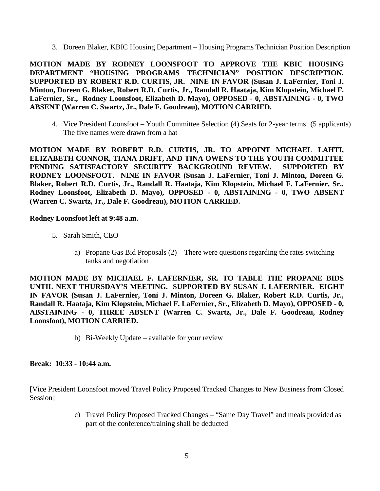3. Doreen Blaker, KBIC Housing Department – Housing Programs Technician Position Description

**MOTION MADE BY RODNEY LOONSFOOT TO APPROVE THE KBIC HOUSING DEPARTMENT "HOUSING PROGRAMS TECHNICIAN" POSITION DESCRIPTION. SUPPORTED BY ROBERT R.D. CURTIS, JR. NINE IN FAVOR (Susan J. LaFernier, Toni J. Minton, Doreen G. Blaker, Robert R.D. Curtis, Jr., Randall R. Haataja, Kim Klopstein, Michael F. LaFernier, Sr., Rodney Loonsfoot, Elizabeth D. Mayo), OPPOSED - 0, ABSTAINING - 0, TWO ABSENT (Warren C. Swartz, Jr., Dale F. Goodreau), MOTION CARRIED.**

4. Vice President Loonsfoot – Youth Committee Selection (4) Seats for 2-year terms (5 applicants) The five names were drawn from a hat

**MOTION MADE BY ROBERT R.D. CURTIS, JR. TO APPOINT MICHAEL LAHTI, ELIZABETH CONNOR, TIANA DRIFT, AND TINA OWENS TO THE YOUTH COMMITTEE PENDING SATISFACTORY SECURITY BACKGROUND REVIEW. SUPPORTED BY RODNEY LOONSFOOT. NINE IN FAVOR (Susan J. LaFernier, Toni J. Minton, Doreen G. Blaker, Robert R.D. Curtis, Jr., Randall R. Haataja, Kim Klopstein, Michael F. LaFernier, Sr., Rodney Loonsfoot, Elizabeth D. Mayo), OPPOSED - 0, ABSTAINING - 0, TWO ABSENT (Warren C. Swartz, Jr., Dale F. Goodreau), MOTION CARRIED.**

## **Rodney Loonsfoot left at 9:48 a.m.**

- 5. Sarah Smith, CEO
	- a) Propane Gas Bid Proposals (2) There were questions regarding the rates switching tanks and negotiation

**MOTION MADE BY MICHAEL F. LAFERNIER, SR. TO TABLE THE PROPANE BIDS UNTIL NEXT THURSDAY'S MEETING. SUPPORTED BY SUSAN J. LAFERNIER. EIGHT IN FAVOR (Susan J. LaFernier, Toni J. Minton, Doreen G. Blaker, Robert R.D. Curtis, Jr., Randall R. Haataja, Kim Klopstein, Michael F. LaFernier, Sr., Elizabeth D. Mayo), OPPOSED - 0, ABSTAINING - 0, THREE ABSENT (Warren C. Swartz, Jr., Dale F. Goodreau, Rodney Loonsfoot), MOTION CARRIED.**

b) Bi-Weekly Update – available for your review

## **Break: 10:33 - 10:44 a.m.**

[Vice President Loonsfoot moved Travel Policy Proposed Tracked Changes to New Business from Closed Session]

> c) Travel Policy Proposed Tracked Changes – "Same Day Travel" and meals provided as part of the conference/training shall be deducted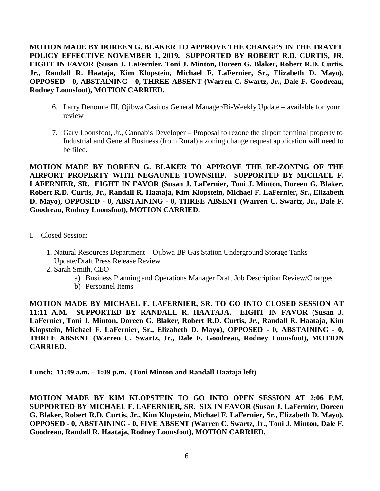**MOTION MADE BY DOREEN G. BLAKER TO APPROVE THE CHANGES IN THE TRAVEL POLICY EFFECTIVE NOVEMBER 1, 2019. SUPPORTED BY ROBERT R.D. CURTIS, JR. EIGHT IN FAVOR (Susan J. LaFernier, Toni J. Minton, Doreen G. Blaker, Robert R.D. Curtis, Jr., Randall R. Haataja, Kim Klopstein, Michael F. LaFernier, Sr., Elizabeth D. Mayo), OPPOSED - 0, ABSTAINING - 0, THREE ABSENT (Warren C. Swartz, Jr., Dale F. Goodreau, Rodney Loonsfoot), MOTION CARRIED.**

- 6. Larry Denomie III, Ojibwa Casinos General Manager/Bi-Weekly Update available for your review
- 7. Gary Loonsfoot, Jr., Cannabis Developer Proposal to rezone the airport terminal property to Industrial and General Business (from Rural) a zoning change request application will need to be filed.

**MOTION MADE BY DOREEN G. BLAKER TO APPROVE THE RE-ZONING OF THE AIRPORT PROPERTY WITH NEGAUNEE TOWNSHIP. SUPPORTED BY MICHAEL F. LAFERNIER, SR. EIGHT IN FAVOR (Susan J. LaFernier, Toni J. Minton, Doreen G. Blaker, Robert R.D. Curtis, Jr., Randall R. Haataja, Kim Klopstein, Michael F. LaFernier, Sr., Elizabeth D. Mayo), OPPOSED - 0, ABSTAINING - 0, THREE ABSENT (Warren C. Swartz, Jr., Dale F. Goodreau, Rodney Loonsfoot), MOTION CARRIED.**

- I. Closed Session:
	- 1. Natural Resources Department Ojibwa BP Gas Station Underground Storage Tanks Update/Draft Press Release Review
	- 2. Sarah Smith, CEO
		- a) Business Planning and Operations Manager Draft Job Description Review/Changes
		- b) Personnel Items

**MOTION MADE BY MICHAEL F. LAFERNIER, SR. TO GO INTO CLOSED SESSION AT 11:11 A.M. SUPPORTED BY RANDALL R. HAATAJA. EIGHT IN FAVOR (Susan J. LaFernier, Toni J. Minton, Doreen G. Blaker, Robert R.D. Curtis, Jr., Randall R. Haataja, Kim Klopstein, Michael F. LaFernier, Sr., Elizabeth D. Mayo), OPPOSED - 0, ABSTAINING - 0, THREE ABSENT (Warren C. Swartz, Jr., Dale F. Goodreau, Rodney Loonsfoot), MOTION CARRIED.**

**Lunch: 11:49 a.m. – 1:09 p.m. (Toni Minton and Randall Haataja left)**

**MOTION MADE BY KIM KLOPSTEIN TO GO INTO OPEN SESSION AT 2:06 P.M. SUPPORTED BY MICHAEL F. LAFERNIER, SR. SIX IN FAVOR (Susan J. LaFernier, Doreen G. Blaker, Robert R.D. Curtis, Jr., Kim Klopstein, Michael F. LaFernier, Sr., Elizabeth D. Mayo), OPPOSED - 0, ABSTAINING - 0, FIVE ABSENT (Warren C. Swartz, Jr., Toni J. Minton, Dale F. Goodreau, Randall R. Haataja, Rodney Loonsfoot), MOTION CARRIED.**